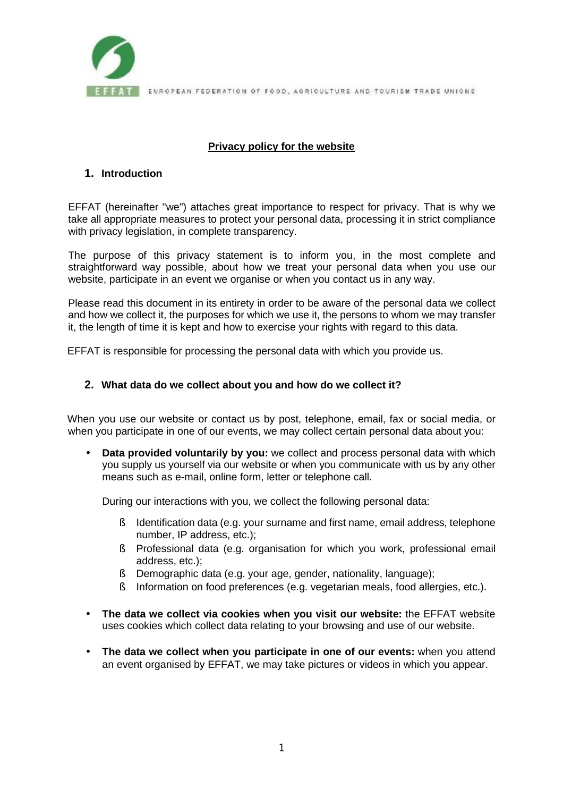

FEAT EUROPEAN FEDERATION OF FOOD, AGRICULTURE AND TOURISM TRADE UNIONS

# **Privacy policy for the website**

## **1. Introduction**

EFFAT (hereinafter "we") attaches great importance to respect for privacy. That is why we take all appropriate measures to protect your personal data, processing it in strict compliance with privacy legislation, in complete transparency.

The purpose of this privacy statement is to inform you, in the most complete and straightforward way possible, about how we treat your personal data when you use our website, participate in an event we organise or when you contact us in any way.

Please read this document in its entirety in order to be aware of the personal data we collect and how we collect it, the purposes for which we use it, the persons to whom we may transfer it, the length of time it is kept and how to exercise your rights with regard to this data.

EFFAT is responsible for processing the personal data with which you provide us.

## **2. What data do we collect about you and how do we collect it?**

When you use our website or contact us by post, telephone, email, fax or social media, or when you participate in one of our events, we may collect certain personal data about you:

• **Data provided voluntarily by you:** we collect and process personal data with which you supply us yourself via our website or when you communicate with us by any other means such as e-mail, online form, letter or telephone call.

During our interactions with you, we collect the following personal data:

- § Identification data (e.g. your surname and first name, email address, telephone number, IP address, etc.);
- § Professional data (e.g. organisation for which you work, professional email address, etc.);
- § Demographic data (e.g. your age, gender, nationality, language);
- § Information on food preferences (e.g. vegetarian meals, food allergies, etc.).
- **The data we collect via cookies when you visit our website:** the EFFAT website uses cookies which collect data relating to your browsing and use of our website.
- **The data we collect when you participate in one of our events:** when you attend an event organised by EFFAT, we may take pictures or videos in which you appear.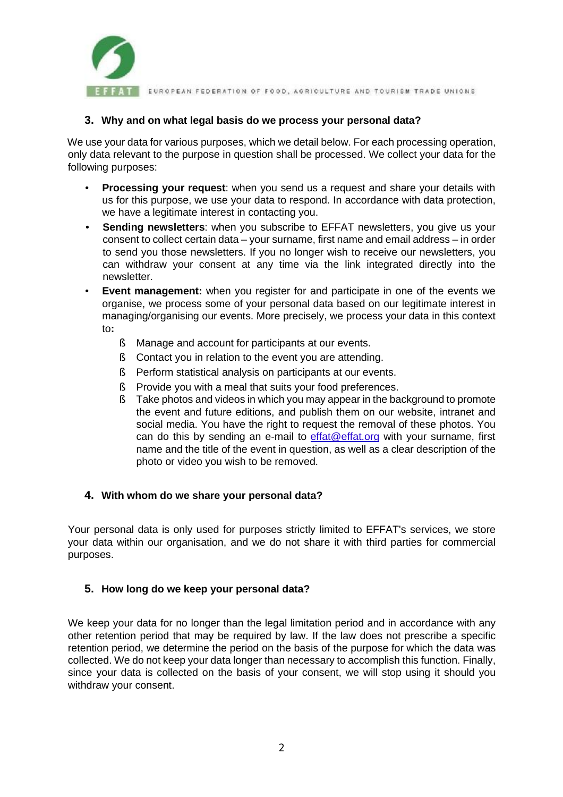

**FFAT** EUROPEAN FEDERATION OF FOOD, AGRICULTURE AND TOURISM TRADE UNIONS

### **3. Why and on what legal basis do we process your personal data?**

We use your data for various purposes, which we detail below. For each processing operation, only data relevant to the purpose in question shall be processed. We collect your data for the following purposes:

- **Processing your request**: when you send us a request and share your details with us for this purpose, we use your data to respond. In accordance with data protection, we have a legitimate interest in contacting you.
- **Sending newsletters**: when you subscribe to EFFAT newsletters, you give us your consent to collect certain data – your surname, first name and email address – in order to send you those newsletters. If you no longer wish to receive our newsletters, you can withdraw your consent at any time via the link integrated directly into the newsletter.
- **Event management:** when you register for and participate in one of the events we organise, we process some of your personal data based on our legitimate interest in managing/organising our events. More precisely, we process your data in this context to**:** 
	- § Manage and account for participants at our events.
	- § Contact you in relation to the event you are attending.
	- § Perform statistical analysis on participants at our events.
	- § Provide you with a meal that suits your food preferences.
	- § Take photos and videos in which you may appear in the background to promote the event and future editions, and publish them on our website, intranet and social media. You have the right to request the removal of these photos. You can do this by sending an e-mail to  $effat@effat.org$  with your surname, first name and the title of the event in question, as well as a clear description of the photo or video you wish to be removed.

# **4. With whom do we share your personal data?**

Your personal data is only used for purposes strictly limited to EFFAT's services, we store your data within our organisation, and we do not share it with third parties for commercial purposes.

# **5. How long do we keep your personal data?**

We keep your data for no longer than the legal limitation period and in accordance with any other retention period that may be required by law. If the law does not prescribe a specific retention period, we determine the period on the basis of the purpose for which the data was collected. We do not keep your data longer than necessary to accomplish this function. Finally, since your data is collected on the basis of your consent, we will stop using it should you withdraw your consent.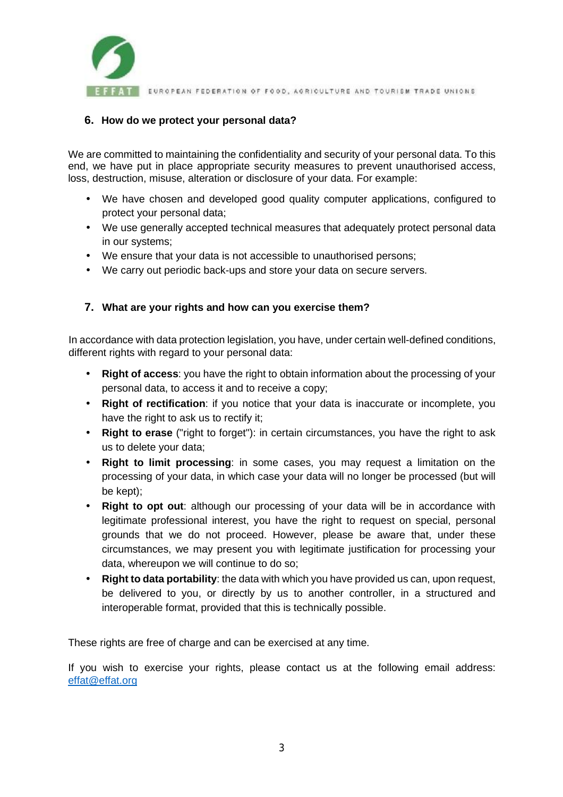

FEAT EUROPEAN FEDERATION OF FOOD, AGRICULTURE AND TOURISM TRADE UNIONS

## **6. How do we protect your personal data?**

We are committed to maintaining the confidentiality and security of your personal data. To this end, we have put in place appropriate security measures to prevent unauthorised access, loss, destruction, misuse, alteration or disclosure of your data. For example:

- We have chosen and developed good quality computer applications, configured to protect your personal data;
- We use generally accepted technical measures that adequately protect personal data in our systems;
- We ensure that your data is not accessible to unauthorised persons;
- We carry out periodic back-ups and store your data on secure servers.

# **7. What are your rights and how can you exercise them?**

In accordance with data protection legislation, you have, under certain well-defined conditions, different rights with regard to your personal data:

- **Right of access**: you have the right to obtain information about the processing of your personal data, to access it and to receive a copy;
- **Right of rectification**: if you notice that your data is inaccurate or incomplete, you have the right to ask us to rectify it;
- **Right to erase** ("right to forget"): in certain circumstances, you have the right to ask us to delete your data;
- **Right to limit processing**: in some cases, you may request a limitation on the processing of your data, in which case your data will no longer be processed (but will be kept);
- **Right to opt out**: although our processing of your data will be in accordance with legitimate professional interest, you have the right to request on special, personal grounds that we do not proceed. However, please be aware that, under these circumstances, we may present you with legitimate justification for processing your data, whereupon we will continue to do so;
- **Right to data portability**: the data with which you have provided us can, upon request, be delivered to you, or directly by us to another controller, in a structured and interoperable format, provided that this is technically possible.

These rights are free of charge and can be exercised at any time.

If you wish to exercise your rights, please contact us at the following email address: [effat@effat.org](mailto:effat@effat.org)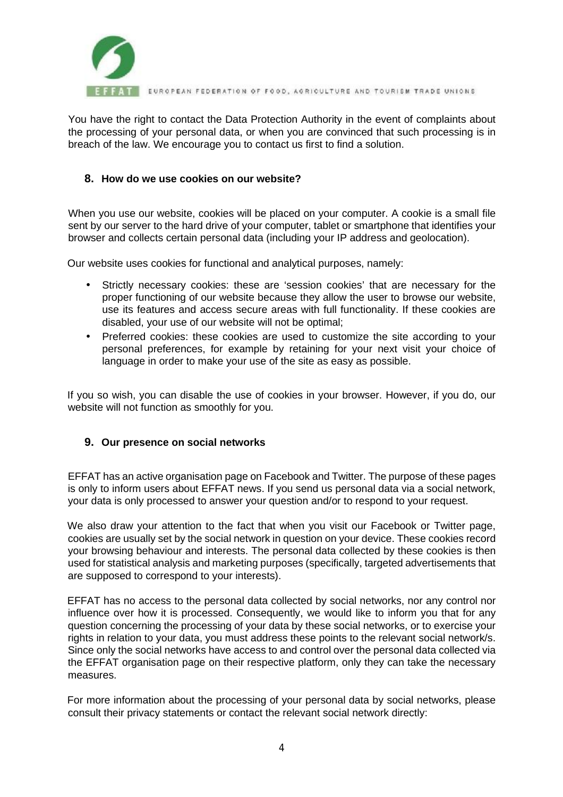

**FAT EUROPEAN FEDERATION OF FOOD, AGRICULTURE AND TOURISM TRADE UNIONS** 

You have the right to contact the Data Protection Authority in the event of complaints about the processing of your personal data, or when you are convinced that such processing is in breach of the law. We encourage you to contact us first to find a solution.

### **8. How do we use cookies on our website?**

When you use our website, cookies will be placed on your computer. A cookie is a small file sent by our server to the hard drive of your computer, tablet or smartphone that identifies your browser and collects certain personal data (including your IP address and geolocation).

Our website uses cookies for functional and analytical purposes, namely:

- Strictly necessary cookies: these are 'session cookies' that are necessary for the proper functioning of our website because they allow the user to browse our website, use its features and access secure areas with full functionality. If these cookies are disabled, your use of our website will not be optimal;
- Preferred cookies: these cookies are used to customize the site according to your personal preferences, for example by retaining for your next visit your choice of language in order to make your use of the site as easy as possible.

If you so wish, you can disable the use of cookies in your browser. However, if you do, our website will not function as smoothly for you.

### **9. Our presence on social networks**

EFFAT has an active organisation page on Facebook and Twitter. The purpose of these pages is only to inform users about EFFAT news. If you send us personal data via a social network, your data is only processed to answer your question and/or to respond to your request.

We also draw your attention to the fact that when you visit our Facebook or Twitter page, cookies are usually set by the social network in question on your device. These cookies record your browsing behaviour and interests. The personal data collected by these cookies is then used for statistical analysis and marketing purposes (specifically, targeted advertisements that are supposed to correspond to your interests).

EFFAT has no access to the personal data collected by social networks, nor any control nor influence over how it is processed. Consequently, we would like to inform you that for any question concerning the processing of your data by these social networks, or to exercise your rights in relation to your data, you must address these points to the relevant social network/s. Since only the social networks have access to and control over the personal data collected via the EFFAT organisation page on their respective platform, only they can take the necessary measures.

For more information about the processing of your personal data by social networks, please consult their privacy statements or contact the relevant social network directly: